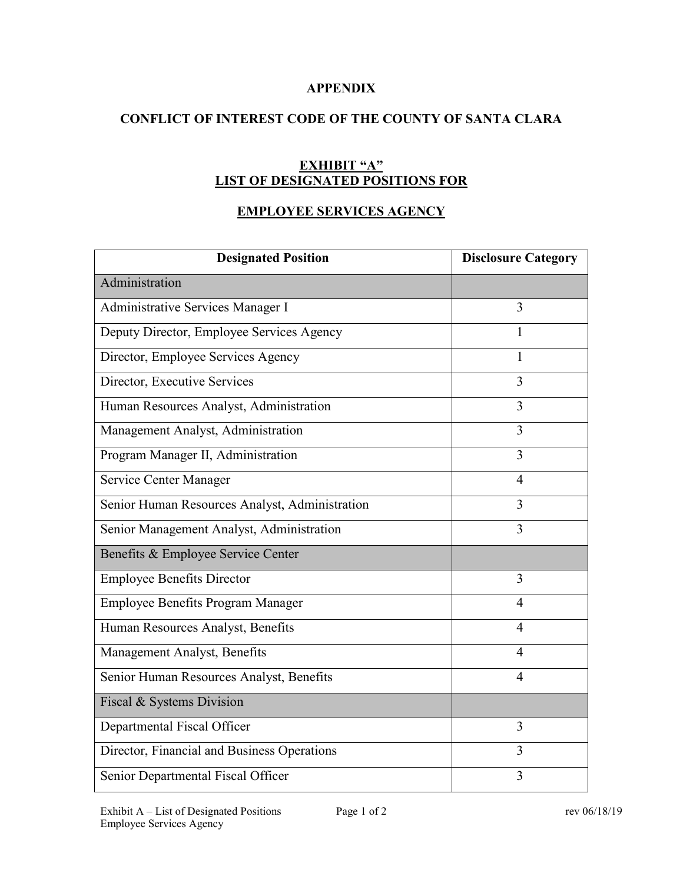## **APPENDIX**

## **CONFLICT OF INTEREST CODE OF THE COUNTY OF SANTA CLARA**

## **EXHIBIT "A" LIST OF DESIGNATED POSITIONS FOR**

# **EMPLOYEE SERVICES AGENCY**

| <b>Designated Position</b>                     | <b>Disclosure Category</b> |
|------------------------------------------------|----------------------------|
| Administration                                 |                            |
| Administrative Services Manager I              | 3                          |
| Deputy Director, Employee Services Agency      | 1                          |
| Director, Employee Services Agency             | 1                          |
| Director, Executive Services                   | 3                          |
| Human Resources Analyst, Administration        | 3                          |
| Management Analyst, Administration             | $\overline{3}$             |
| Program Manager II, Administration             | $\overline{3}$             |
| Service Center Manager                         | $\overline{4}$             |
| Senior Human Resources Analyst, Administration | 3                          |
| Senior Management Analyst, Administration      | 3                          |
| Benefits & Employee Service Center             |                            |
| <b>Employee Benefits Director</b>              | 3                          |
| Employee Benefits Program Manager              | $\overline{4}$             |
| Human Resources Analyst, Benefits              | $\overline{4}$             |
| Management Analyst, Benefits                   | $\overline{4}$             |
| Senior Human Resources Analyst, Benefits       | $\overline{4}$             |
| Fiscal & Systems Division                      |                            |
| Departmental Fiscal Officer                    | 3                          |
| Director, Financial and Business Operations    | 3                          |
| Senior Departmental Fiscal Officer             | 3                          |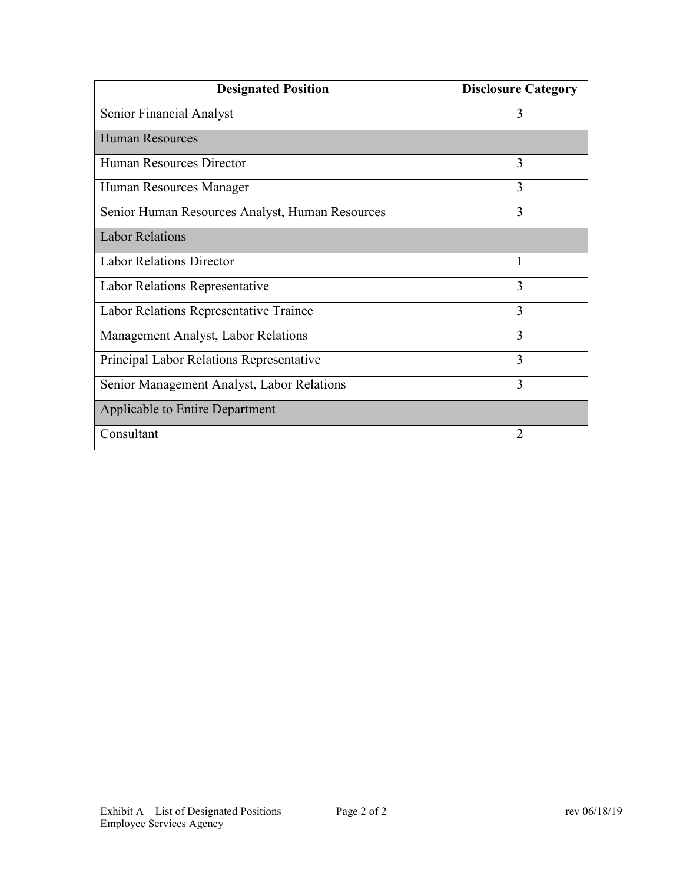| <b>Designated Position</b>                      | <b>Disclosure Category</b> |
|-------------------------------------------------|----------------------------|
| Senior Financial Analyst                        | 3                          |
| <b>Human Resources</b>                          |                            |
| Human Resources Director                        | 3                          |
| Human Resources Manager                         | 3                          |
| Senior Human Resources Analyst, Human Resources | 3                          |
| <b>Labor Relations</b>                          |                            |
| <b>Labor Relations Director</b>                 | 1                          |
| Labor Relations Representative                  | 3                          |
| Labor Relations Representative Trainee          | 3                          |
| Management Analyst, Labor Relations             | 3                          |
| Principal Labor Relations Representative        | 3                          |
| Senior Management Analyst, Labor Relations      | 3                          |
| Applicable to Entire Department                 |                            |
| Consultant                                      | 2                          |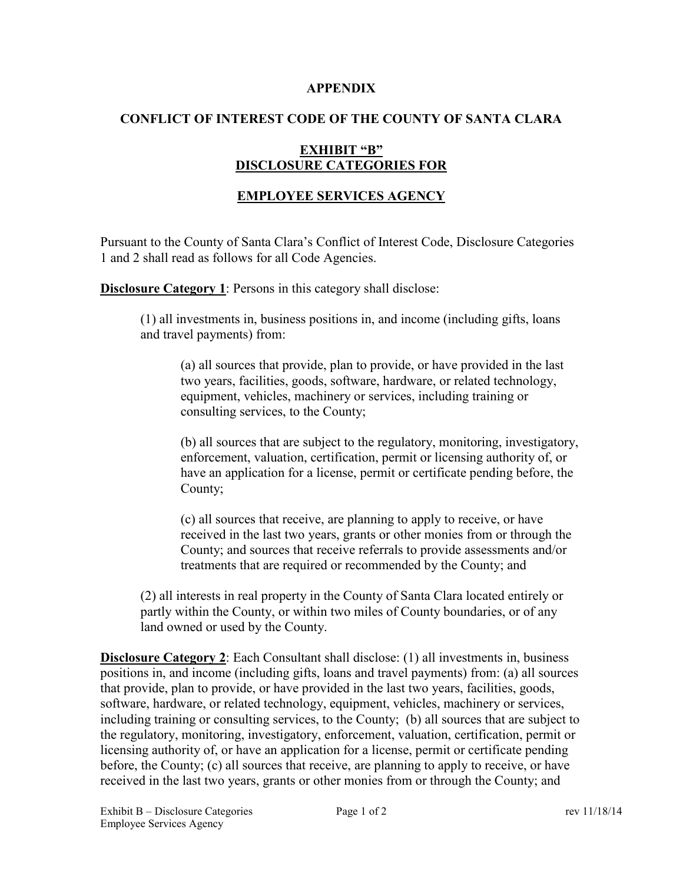#### **APPENDIX**

## **CONFLICT OF INTEREST CODE OF THE COUNTY OF SANTA CLARA**

## **EXHIBIT "B" DISCLOSURE CATEGORIES FOR**

## **EMPLOYEE SERVICES AGENCY**

Pursuant to the County of Santa Clara's Conflict of Interest Code, Disclosure Categories 1 and 2 shall read as follows for all Code Agencies.

**Disclosure Category 1:** Persons in this category shall disclose:

(1) all investments in, business positions in, and income (including gifts, loans and travel payments) from:

(a) all sources that provide, plan to provide, or have provided in the last two years, facilities, goods, software, hardware, or related technology, equipment, vehicles, machinery or services, including training or consulting services, to the County;

(b) all sources that are subject to the regulatory, monitoring, investigatory, enforcement, valuation, certification, permit or licensing authority of, or have an application for a license, permit or certificate pending before, the County;

(c) all sources that receive, are planning to apply to receive, or have received in the last two years, grants or other monies from or through the County; and sources that receive referrals to provide assessments and/or treatments that are required or recommended by the County; and

(2) all interests in real property in the County of Santa Clara located entirely or partly within the County, or within two miles of County boundaries, or of any land owned or used by the County.

**Disclosure Category 2**: Each Consultant shall disclose: (1) all investments in, business positions in, and income (including gifts, loans and travel payments) from: (a) all sources that provide, plan to provide, or have provided in the last two years, facilities, goods, software, hardware, or related technology, equipment, vehicles, machinery or services, including training or consulting services, to the County; (b) all sources that are subject to the regulatory, monitoring, investigatory, enforcement, valuation, certification, permit or licensing authority of, or have an application for a license, permit or certificate pending before, the County; (c) all sources that receive, are planning to apply to receive, or have received in the last two years, grants or other monies from or through the County; and